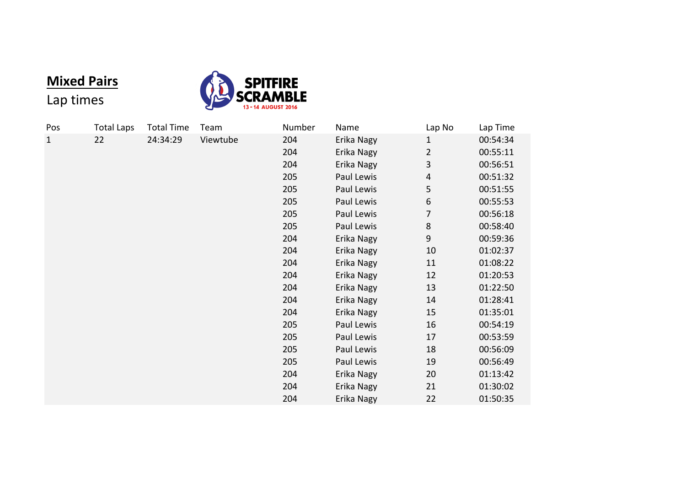## **Mixed Pairs**



## Lap times

| Pos          | <b>Total Laps</b> | <b>Total Time</b> | Team     | Number | Name       | Lap No                   | Lap Time |
|--------------|-------------------|-------------------|----------|--------|------------|--------------------------|----------|
| $\mathbf{1}$ | 22                | 24:34:29          | Viewtube | 204    | Erika Nagy | $\mathbf{1}$             | 00:54:34 |
|              |                   |                   |          | 204    | Erika Nagy | $\overline{2}$           | 00:55:11 |
|              |                   |                   |          | 204    | Erika Nagy | 3                        | 00:56:51 |
|              |                   |                   |          | 205    | Paul Lewis | $\overline{\mathcal{A}}$ | 00:51:32 |
|              |                   |                   |          | 205    | Paul Lewis | 5                        | 00:51:55 |
|              |                   |                   |          | 205    | Paul Lewis | 6                        | 00:55:53 |
|              |                   |                   |          | 205    | Paul Lewis | 7                        | 00:56:18 |
|              |                   |                   |          | 205    | Paul Lewis | $\,8\,$                  | 00:58:40 |
|              |                   |                   |          | 204    | Erika Nagy | $\overline{9}$           | 00:59:36 |
|              |                   |                   |          | 204    | Erika Nagy | 10                       | 01:02:37 |
|              |                   |                   |          | 204    | Erika Nagy | 11                       | 01:08:22 |
|              |                   |                   |          | 204    | Erika Nagy | 12                       | 01:20:53 |
|              |                   |                   |          | 204    | Erika Nagy | 13                       | 01:22:50 |
|              |                   |                   |          | 204    | Erika Nagy | 14                       | 01:28:41 |
|              |                   |                   |          | 204    | Erika Nagy | 15                       | 01:35:01 |
|              |                   |                   |          | 205    | Paul Lewis | 16                       | 00:54:19 |
|              |                   |                   |          | 205    | Paul Lewis | 17                       | 00:53:59 |
|              |                   |                   |          | 205    | Paul Lewis | 18                       | 00:56:09 |
|              |                   |                   |          | 205    | Paul Lewis | 19                       | 00:56:49 |
|              |                   |                   |          | 204    | Erika Nagy | 20                       | 01:13:42 |
|              |                   |                   |          | 204    | Erika Nagy | 21                       | 01:30:02 |
|              |                   |                   |          | 204    | Erika Nagy | 22                       | 01:50:35 |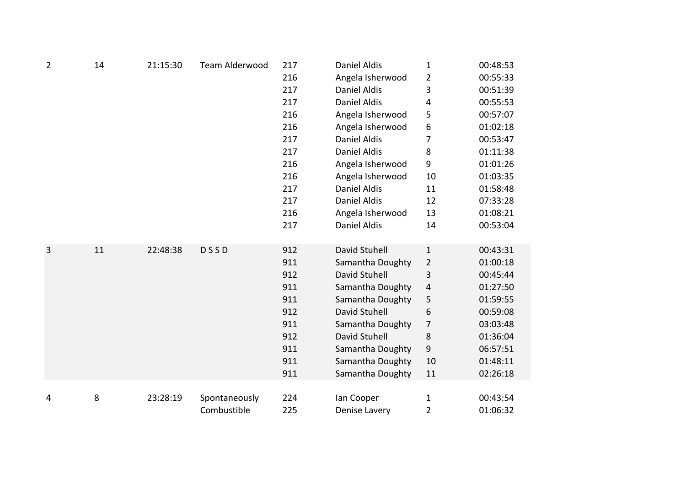| $\overline{2}$ | 14 | 21:15:30 | Team Alderwood | 217 | <b>Daniel Aldis</b> | $\mathbf{1}$     | 00:48:53 |
|----------------|----|----------|----------------|-----|---------------------|------------------|----------|
|                |    |          |                | 216 | Angela Isherwood    | $\overline{2}$   | 00:55:33 |
|                |    |          |                | 217 | <b>Daniel Aldis</b> | 3                | 00:51:39 |
|                |    |          |                | 217 | <b>Daniel Aldis</b> | 4                | 00:55:53 |
|                |    |          |                | 216 | Angela Isherwood    | 5                | 00:57:07 |
|                |    |          |                | 216 | Angela Isherwood    | $\,$ 6 $\,$      | 01:02:18 |
|                |    |          |                | 217 | <b>Daniel Aldis</b> | $\overline{7}$   | 00:53:47 |
|                |    |          |                | 217 | <b>Daniel Aldis</b> | 8                | 01:11:38 |
|                |    |          |                | 216 | Angela Isherwood    | $\boldsymbol{9}$ | 01:01:26 |
|                |    |          |                | 216 | Angela Isherwood    | 10               | 01:03:35 |
|                |    |          |                | 217 | <b>Daniel Aldis</b> | 11               | 01:58:48 |
|                |    |          |                | 217 | <b>Daniel Aldis</b> | 12               | 07:33:28 |
|                |    |          |                | 216 | Angela Isherwood    | 13               | 01:08:21 |
|                |    |          |                | 217 | <b>Daniel Aldis</b> | 14               | 00:53:04 |
|                |    |          |                |     |                     |                  |          |
| 3              | 11 | 22:48:38 | <b>DSSD</b>    | 912 | David Stuhell       | $\mathbf{1}$     | 00:43:31 |
|                |    |          |                | 911 | Samantha Doughty    | $\overline{2}$   | 01:00:18 |
|                |    |          |                | 912 | David Stuhell       | 3                | 00:45:44 |
|                |    |          |                | 911 | Samantha Doughty    | $\sqrt{4}$       | 01:27:50 |
|                |    |          |                | 911 | Samantha Doughty    | 5                | 01:59:55 |
|                |    |          |                | 912 | David Stuhell       | 6                | 00:59:08 |
|                |    |          |                | 911 | Samantha Doughty    | 7                | 03:03:48 |
|                |    |          |                | 912 | David Stuhell       | $\,8\,$          | 01:36:04 |
|                |    |          |                | 911 | Samantha Doughty    | $\boldsymbol{9}$ | 06:57:51 |
|                |    |          |                | 911 | Samantha Doughty    | 10               | 01:48:11 |
|                |    |          |                | 911 | Samantha Doughty    | 11               | 02:26:18 |
|                |    |          |                |     |                     |                  |          |
| 4              | 8  | 23:28:19 | Spontaneously  | 224 | lan Cooper          | $\mathbf{1}$     | 00:43:54 |
|                |    |          | Combustible    | 225 | Denise Lavery       | 2                | 01:06:32 |